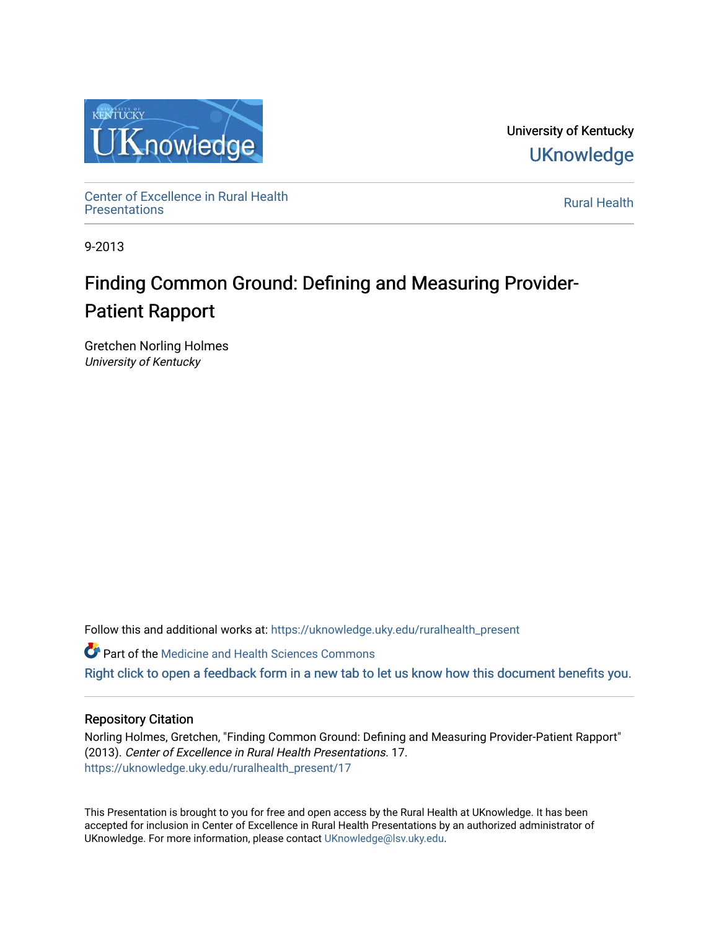

University of Kentucky **UKnowledge** 

Center of Excellence in Rural Health<br>Presentations Definer of Excellence in Kural Health<br>[Presentations](https://uknowledge.uky.edu/ruralhealth_present) **Rural Health** 

9-2013

## Finding Common Ground: Defining and Measuring Provider-Patient Rapport

Gretchen Norling Holmes University of Kentucky

Follow this and additional works at: [https://uknowledge.uky.edu/ruralhealth\\_present](https://uknowledge.uky.edu/ruralhealth_present?utm_source=uknowledge.uky.edu%2Fruralhealth_present%2F17&utm_medium=PDF&utm_campaign=PDFCoverPages) 

**Part of the Medicine and Health Sciences Commons** 

[Right click to open a feedback form in a new tab to let us know how this document benefits you.](https://uky.az1.qualtrics.com/jfe/form/SV_9mq8fx2GnONRfz7)

## Repository Citation

Norling Holmes, Gretchen, "Finding Common Ground: Defining and Measuring Provider-Patient Rapport" (2013). Center of Excellence in Rural Health Presentations. 17. [https://uknowledge.uky.edu/ruralhealth\\_present/17](https://uknowledge.uky.edu/ruralhealth_present/17?utm_source=uknowledge.uky.edu%2Fruralhealth_present%2F17&utm_medium=PDF&utm_campaign=PDFCoverPages)

This Presentation is brought to you for free and open access by the Rural Health at UKnowledge. It has been accepted for inclusion in Center of Excellence in Rural Health Presentations by an authorized administrator of UKnowledge. For more information, please contact [UKnowledge@lsv.uky.edu](mailto:UKnowledge@lsv.uky.edu).